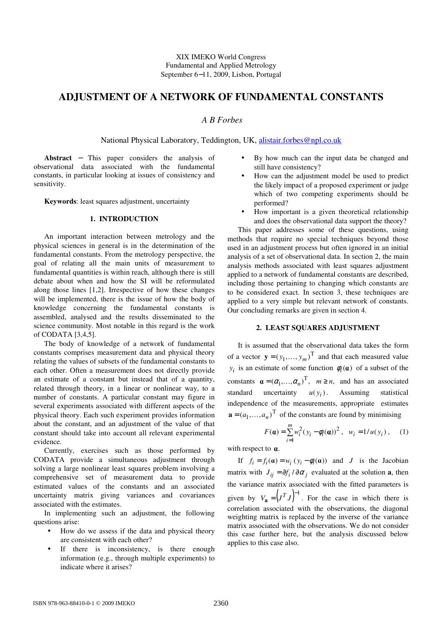# **ADJUSTMENT OF A NETWORK OF FUNDAMENTAL CONSTANTS**

## *A B Forbes*

National Physical Laboratory, Teddington, UK, alistair.forbes@npl.co.uk

**Abstract** − This paper considers the analysis of observational data associated with the fundamental constants, in particular looking at issues of consistency and sensitivity.

**Keywords**: least squares adjustment, uncertainty

## **1. INTRODUCTION**

An important interaction between metrology and the physical sciences in general is in the determination of the fundamental constants. From the metrology perspective, the goal of relating all the main units of measurement to fundamental quantities is within reach, although there is still debate about when and how the SI will be reformulated along those lines [1,2]. Irrespective of how these changes will be implemented, there is the issue of how the body of knowledge concerning the fundamental constants is assembled, analysed and the results disseminated to the science community. Most notable in this regard is the work of CODATA [3,4,5].

The body of knowledge of a network of fundamental constants comprises measurement data and physical theory relating the values of subsets of the fundamental constants to each other. Often a measurement does not directly provide an estimate of a constant but instead that of a quantity, related through theory, in a linear or nonlinear way, to a number of constants. A particular constant may figure in several experiments associated with different aspects of the physical theory. Each such experiment provides information about the constant, and an adjustment of the value of that constant should take into account all relevant experimental evidence.

Currently, exercises such as those performed by CODATA provide a simultaneous adjustment through solving a large nonlinear least squares problem involving a comprehensive set of measurement data to provide estimated values of the constants and an associated uncertainty matrix giving variances and covariances associated with the estimates.

In implementing such an adjustment, the following questions arise:

- How do we assess if the data and physical theory are consistent with each other?
- If there is inconsistency, is there enough information (e.g., through multiple experiments) to indicate where it arises?
- By how much can the input data be changed and still have consistency?
- How can the adjustment model be used to predict the likely impact of a proposed experiment or judge which of two competing experiments should be performed?
- How important is a given theoretical relationship and does the observational data support the theory?

This paper addresses some of these questions, using methods that require no special techniques beyond those used in an adjustment process but often ignored in an initial analysis of a set of observational data. In section 2, the main analysis methods associated with least squares adjustment applied to a network of fundamental constants are described, including those pertaining to changing which constants are to be considered exact. In section 3, these techniques are applied to a very simple but relevant network of constants. Our concluding remarks are given in section 4.

### **2. LEAST SQUARES ADJUSTMENT**

It is assumed that the observational data takes the form of a vector  $\mathbf{y} = (y_1, \dots, y_m)^\text{T}$  and that each measured value  $y_i$  is an estimate of some function  $\phi_i(\mathbf{a})$  of a subset of the constants  $\mathbf{a} = (\alpha_1, ..., \alpha_n)^T$ ,  $m \ge n$ , and has an associated standard uncertainty  $u(y_i)$ . Assuming statistical independence of the measurements, appropriate estimates  $\mathbf{a} = (a_1, \dots, a_n)^\text{T}$  of the constants are found by minimising

$$
F(\mathbf{a}) = \sum_{i=1}^{m} w_i^2 (y_i - \phi_i(\mathbf{a}))^2, \ \ w_i = 1/u(y_i), \quad (1)
$$

with respect to  $\alpha$ .

If  $f_i = f_i(\mathbf{\alpha}) = w_i (y_i - \phi_i(\mathbf{\alpha}))$  and *J* is the Jacobian matrix with  $J_{ij} = \partial f_i / \partial \alpha_j$  evaluated at the solution **a**, then the variance matrix associated with the fitted parameters is given by  $V_{\mathbf{a}} = (J^T J)^{-1}$ . For the case in which there is correlation associated with the observations, the diagonal weighting matrix is replaced by the inverse of the variance matrix associated with the observations. We do not consider this case further here, but the analysis discussed below applies to this case also.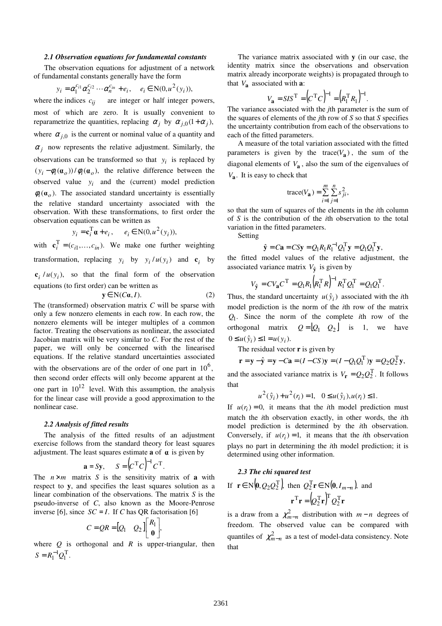#### *2.1 Observation equations for fundamental constants*

The observation equations for adjustment of a network of fundamental constants generally have the form

$$
y_i = \alpha_1^{c_{i1}} \alpha_2^{c_{i2}} \cdots \alpha_n^{c_{in}} + e_i, \quad e_i \in \mathbb{N}(0, u^2(y_i)),
$$

where the indices  $c_{ij}$  are integer or half integer powers, most of which are zero. It is usually convenient to reparametrize the quantities, replacing  $\alpha_j$  by  $\alpha_{j,0}(1+\alpha_j)$ , where  $\alpha_{j,0}$  is the current or nominal value of a quantity and  $\alpha_j$  now represents the relative adjustment. Similarly, the observations can be transformed so that  $y_i$  is replaced by  $(y_i - \phi_i(\mathbf{a}_o))/\phi_i(\mathbf{a}_o)$ , the relative difference between the observed value  $y_i$  and the (current) model prediction  $\phi_i(\mathbf{a}_o)$ . The associated standard uncertainty is essentially the relative standard uncertainty associated with the observation. With these transformations, to first order the observation equations can be written as

$$
y_i = \mathbf{c}_i^{\mathrm{T}} \mathbf{a} + e_i, \qquad e_i \in \mathrm{N}(0, u^2(y_i)),
$$

with  $\mathbf{c}_i^{\mathrm{T}} = (c_{i1}, \dots, c_{in}).$  We make one further weighting transformation, replacing  $y_i$  by  $y_i/u(y_i)$  and  $c_i$  by  $c_i / u(y_i)$ , so that the final form of the observation equations (to first order) can be written as

$$
y \in N(C\alpha, I). \tag{2}
$$

The (transformed) observation matrix *C* will be sparse with only a few nonzero elements in each row. In each row, the nonzero elements will be integer multiples of a common factor. Treating the observations as nonlinear, the associated Jacobian matrix will be very similar to *C*. For the rest of the paper, we will only be concerned with the linearised equations. If the relative standard uncertainties associated with the observations are of the order of one part in  $10^6$ , then second order effects will only become apparent at the one part in  $10^{12}$  level. With this assumption, the analysis for the linear case will provide a good approximation to the nonlinear case.

#### *2.2 Analysis of fitted results*

The analysis of the fitted results of an adjustment exercise follows from the standard theory for least squares adjustment. The least squares estimate **a** of  $\alpha$  is given by

$$
\mathbf{a} = S\mathbf{y}, \qquad S = \left( C^{\mathrm{T}} C \right)^{-1} C^{\mathrm{T}}.
$$

The  $n \times m$  matrix *S* is the sensitivity matrix of **a** with respect to **y**, and specifies the least squares solution as a linear combination of the observations. The matrix *S* is the pseudo-inverse of *C*, also known as the Moore-Penrose inverse [6], since  $SC = I$ . If *C* has QR factorisation [6]

$$
C = QR = [Q_1 \quad Q_2] \begin{bmatrix} R_1 \\ \mathbf{0} \end{bmatrix},
$$

where  $Q$  is orthogonal and  $R$  is upper-triangular, then  $S = R_1^{-1} Q_1^{\rm T}.$ 

The variance matrix associated with **y** (in our case, the identity matrix since the observations and observation matrix already incorporate weights) is propagated through to that  $V_a$  associated with  $a$ :

$$
V_{\mathbf{a}} = S I S^{\mathrm{T}} = (C^{\mathrm{T}} C)^{-1} = (R_1^{\mathrm{T}} R_1)^{-1}.
$$

The variance associated with the *j*th parameter is the sum of the squares of elements of the *j*th row of *S* so that *S* specifies the uncertainty contribution from each of the observations to each of the fitted parameters.

 A measure of the total variation associated with the fitted parameters is given by the trace( $V_a$ ), the sum of the diagonal elements of *V***<sup>a</sup>** , also the sum of the eigenvalues of  $V_{\mathbf{a}}$ . It is easy to check that

trace(
$$
V_{\mathbf{a}}
$$
) =  $\sum_{i=1}^{m} \sum_{j=1}^{n} s_{ji}^{2}$ ,

so that the sum of squares of the elements in the *i*th column of *S* is the contribution of the *i*th observation to the total variation in the fitted parameters.

Setting

$$
\hat{\mathbf{y}} = C\mathbf{a} = C S \mathbf{y} = Q_1 R_1 R_1^{-1} Q_1^{\mathrm{T}} \mathbf{y} = Q_1 Q_1^{\mathrm{T}} \mathbf{y},
$$

the fitted model values of the relative adjustment, the associated variance matrix  $V_{\hat{y}}$  is given by

$$
V_{\hat{y}} = CV_{\mathbf{a}} C^{\mathrm{T}} = Q_1 R_1 (R_1^{\mathrm{T}} R)^{-1} R_1^{\mathrm{T}} Q_1^{\mathrm{T}} = Q_1 Q_1^{\mathrm{T}}.
$$

Thus, the standard uncertainty  $u(\hat{y}_i)$  associated with the *i*th model prediction is the norm of the *i*th row of the matrix . *Q*<sup>1</sup> Since the norm of the complete *i*th row of the orthogonal matrix  $Q = [Q_1 \ Q_2]$  is 1, we have  $0 \le u(\hat{y}_i) \le 1 = u(y_i).$ 

The residual vector **r** is given by

$$
\mathbf{r} = \mathbf{y} - \hat{\mathbf{y}} = \mathbf{y} - C\mathbf{a} = (I - CS)\mathbf{y} = (I - Q_1Q_1^{\mathrm{T}})\mathbf{y} = Q_2Q_2^{\mathrm{T}}\mathbf{y},
$$
  
the associated variance matrix is  $V_x = Q_2Q_2^{\mathrm{T}}$ . It follow

and the associated variance matrix is  $V_{\bf r} = Q_2 Q_2^{\rm T}$ . It follows that

$$
u^{2}(\hat{y}_{i}) + u^{2}(r_{i}) = 1, \quad 0 \le u(\hat{y}_{i}), u(r_{i}) \le 1.
$$

If  $u(r_i) = 0$ , it means that the *i*th model prediction must match the *i*th observation exactly, in other words, the *i*th model prediction is determined by the *i*th observation. Conversely, if  $u(r_i) = 1$ , it means that the *i*th observation plays no part in determining the *i*th model prediction; it is determined using other information.

# *2.3 The chi squared test*  If  $\mathbf{r} \in \mathbb{N}\left(0, Q_2 Q_2^{\mathrm{T}}\right)$  then  $Q_2^{\mathrm{T}} \mathbf{r} \in \mathbb{N}\left(0, I_{m-n}\right)$ , and  $\mathbf{r}^{\mathrm{T}}\mathbf{r} = (Q_2^{\mathrm{T}}\mathbf{r})^{\mathrm{T}}Q_2^{\mathrm{T}}\mathbf{r}$

is a draw from a  $\chi^2_{m-n}$  distribution with  $m-n$  degrees of freedom. The observed value can be compared with quantiles of  $\chi^2_{m-n}$  as a test of model-data consistency. Note that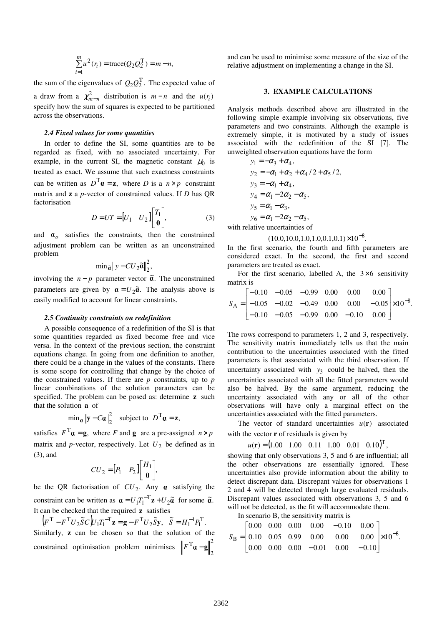$$
\sum_{i=1}^{m} u^{2}(r_{i}) = \text{trace}(Q_{2}Q_{2}^{T}) = m - n,
$$

the sum of the eigenvalues of  $Q_2 Q_2^T$ . The expected value of a draw from a  $\chi^2_{m-n}$  distribution is  $m-n$  and the  $u(r_i)$ specify how the sum of squares is expected to be partitioned across the observations.

#### *2.4 Fixed values for some quantities*

In order to define the SI, some quantities are to be regarded as fixed, with no associated uncertainty. For example, in the current SI, the magnetic constant  $\mu_0$  is treated as exact. We assume that such exactness constraints can be written as  $D^T \mathbf{a} = \mathbf{z}$ , where *D* is a  $n \times p$  constraint matrix and **z** a *p*-vector of constrained values. If *D* has QR factorisation

$$
D = UT = [U_1 \quad U_2] \begin{bmatrix} T_1 \\ \mathbf{0} \end{bmatrix}, \tag{3}
$$

and  $\boldsymbol{\alpha}_o$  satisfies the constraints, then the constrained adjustment problem can be written as an unconstrained problem

$$
\min \tilde{a} \| y - CU_2 \tilde{a} \|^2_2,
$$

involving the  $n - p$  parameter vector  $\tilde{\alpha}$ . The unconstrained parameters are given by  $\alpha = U_2 \tilde{\alpha}$ . The analysis above is easily modified to account for linear constraints.

#### *2.5 Continuity constraints on redefinition*

A possible consequence of a redefinition of the SI is that some quantities regarded as fixed become free and vice versa. In the context of the previous section, the constraint equations change. In going from one definition to another, there could be a change in the values of the constants. There is some scope for controlling that change by the choice of the constrained values. If there are *p* constraints, up to *p* linear combinations of the solution parameters can be specified. The problem can be posed as: determine **z** such that the solution **a** of

$$
\min_{\mathbf{\alpha}} \|\mathbf{y} - C\mathbf{\alpha}\|_2^2 \quad \text{subject to} \quad D^{\mathrm{T}}\mathbf{\alpha} = \mathbf{z},
$$

satisfies  $F^{T} \mathbf{a} = \mathbf{g}$ , where *F* and **g** are a pre-assigned  $n \times p$ matrix and  $p$ -vector, respectively. Let  $U_2$  be defined as in (3), and

$$
CU_2=[P_1 \quad P_2]\begin{bmatrix} H_1 \\ \mathbf{0} \end{bmatrix},
$$

be the QR factorisation of  $CU_2$ . Any  $\alpha$  satisfying the constraint can be written as  $\mathbf{a} = U_1 T_1^{-T} \mathbf{z} + U_2 \tilde{\mathbf{a}}$  for some  $\tilde{\mathbf{a}}$ . It can be checked that the required **z** satisfies

 $(F<sup>T</sup> - F<sup>T</sup>U<sub>2</sub> \tilde{S}C)U<sub>1</sub>T<sub>1</sub><sup>-T</sup>z = g - F<sup>T</sup>U<sub>2</sub> \tilde{S}y,$  $F^{\text{T}} - F^{\text{T}} U_2 \tilde{S} C \mathcal{L} U_1 T_1^{-\text{T}} \mathbf{z} = \mathbf{g} - F^{\text{T}} U_2 \tilde{S} \mathbf{y}, \quad \tilde{S} = H_1^{-1} P_1^{\text{T}}.$ Similarly, **z** can be chosen so that the solution of the constrained optimisation problem minimises  $\left\|F^{T}\mathbf{a}-\mathbf{g}\right\|^{2}$ 2  $F^{\mathrm{T}}\mathbf{a} - \mathbf{g}$ 

and can be used to minimise some measure of the size of the relative adjustment on implementing a change in the SI.

#### **3. EXAMPLE CALCULATIONS**

Analysis methods described above are illustrated in the following simple example involving six observations, five parameters and two constraints. Although the example is extremely simple, it is motivated by a study of issues associated with the redefinition of the SI [7]. The unweighted observation equations have the form

$$
y_1 = -\alpha_3 + \alpha_4,
$$
  
\n
$$
y_2 = -\alpha_1 + \alpha_2 + \alpha_4 / 2 + \alpha_5 / 2,
$$
  
\n
$$
y_3 = -\alpha_1 + \alpha_4,
$$
  
\n
$$
y_4 = \alpha_1 - 2\alpha_2 - \alpha_5,
$$
  
\n
$$
y_5 = \alpha_1 - \alpha_3,
$$
  
\n
$$
y_6 = \alpha_1 - 2\alpha_2 - \alpha_5,
$$

with relative uncertainties of

$$
(10.0, 10.0, 1.0, 1.0, 0.1, 0.1) \times 10^{-8}.
$$

In the first scenario, the fourth and fifth parameters are considered exact. In the second, the first and second parameters are treated as exact.

For the first scenario, labelled A, the  $3\times 6$  sensitivity matrix is

$$
S_{\rm A} = \begin{bmatrix} -0.10 & -0.05 & -0.99 & 0.00 & 0.00 & 0.00 \\ -0.05 & -0.02 & -0.49 & 0.00 & 0.00 & -0.05 \\ -0.10 & -0.05 & -0.99 & 0.00 & -0.10 & 0.00 \end{bmatrix} \times 10^{-8}.
$$

The rows correspond to parameters 1, 2 and 3, respectively. The sensitivity matrix immediately tells us that the main contribution to the uncertainties associated with the fitted parameters is that associated with the third observation. If uncertainty associated with  $y_3$  could be halved, then the uncertainties associated with all the fitted parameters would also be halved. By the same argument, reducing the uncertainty associated with any or all of the other observations will have only a marginal effect on the uncertainties associated with the fitted parameters.

The vector of standard uncertainties  $u(\mathbf{r})$  associated with the vector **r** of residuals is given by

$$
u(\mathbf{r}) = (1.00 \quad 1.00 \quad 0.11 \quad 1.00 \quad 0.01 \quad 0.10)^{\mathrm{T}},
$$

showing that only observations 3, 5 and 6 are influential; all the other observations are essentially ignored. These uncertainties also provide information about the ability to detect discrepant data. Discrepant values for observations 1 2 and 4 will be detected through large evaluated residuals. Discrepant values associated with observations 3, 5 and 6 will not be detected, as the fit will accommodate them.

In scenario B, the sensitivity matrix is

$$
S_{\rm B} = \begin{bmatrix} 0.00 & 0.00 & 0.00 & 0.00 & -0.10 & 0.00 \\ 0.10 & 0.05 & 0.99 & 0.00 & 0.00 & 0.00 \\ 0.00 & 0.00 & 0.00 & -0.01 & 0.00 & -0.10 \end{bmatrix} \times 10^{-8}.
$$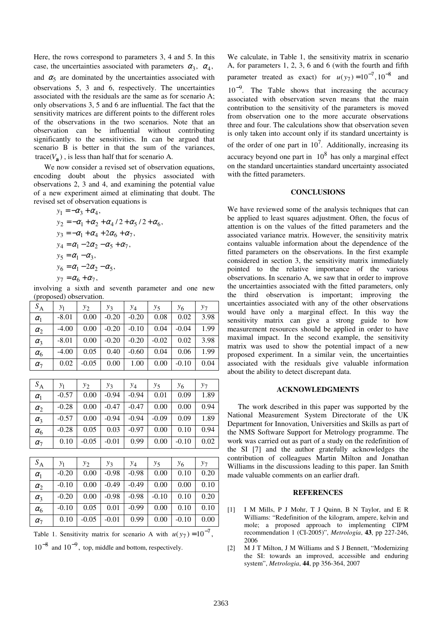Here, the rows correspond to parameters 3, 4 and 5. In this case, the uncertainties associated with parameters  $\alpha_3$ ,  $\alpha_4$ , and  $\alpha_5$  are dominated by the uncertainties associated with observations 5, 3 and 6, respectively. The uncertainties associated with the residuals are the same as for scenario A; only observations 3, 5 and 6 are influential. The fact that the sensitivity matrices are different points to the different roles of the observations in the two scenarios. Note that an observation can be influential without contributing significantly to the sensitivities. In can be argued that scenario B is better in that the sum of the variances,  $trace(V_{\mathbf{a}})$ , is less than half that for scenario A.

 We now consider a revised set of observation equations, encoding doubt about the physics associated with observations 2, 3 and 4, and examining the potential value of a new experiment aimed at eliminating that doubt. The revised set of observation equations is

$$
y_1 = -\alpha_3 + \alpha_4,
$$
  
\n
$$
y_2 = -\alpha_1 + \alpha_2 + \alpha_4 / 2 + \alpha_5 / 2 + \alpha_6,
$$
  
\n
$$
y_3 = -\alpha_1 + \alpha_4 + 2\alpha_6 + \alpha_7,
$$
  
\n
$$
y_4 = \alpha_1 - 2\alpha_2 - \alpha_5 + \alpha_7,
$$
  
\n
$$
y_5 = \alpha_1 - \alpha_3,
$$
  
\n
$$
y_6 = \alpha_1 - 2\alpha_2 - \alpha_5,
$$
  
\n
$$
y_7 = \alpha_6 + \alpha_7,
$$

involving a sixth and seventh parameter and one new (proposed) observation.

| $S_{\rm A}$ | $y_1$   | $y_2$   | $y_3$   | $y_4$   | $y_{5}$ | У6      | $y_7$ |
|-------------|---------|---------|---------|---------|---------|---------|-------|
| $\alpha_1$  | $-8.01$ | 0.00    | $-0.20$ | $-0.20$ | 0.08    | 0.02    | 3.98  |
| $\alpha_2$  | $-4.00$ | 0.00    | $-0.20$ | $-0.10$ | 0.04    | $-0.04$ | 1.99  |
| $\alpha_3$  | $-8.01$ | 0.00    | $-0.20$ | $-0.20$ | $-0.02$ | 0.02    | 3.98  |
| $\alpha_6$  | $-4.00$ | 0.05    | 0.40    | $-0.60$ | 0.04    | 0.06    | 1.99  |
| $\alpha_7$  | 0.02    | $-0.05$ | 0.00    | 1.00    | 0.00    | $-0.10$ | 0.04  |

| $S_{\rm A}$  | y1      | $y_2$   | $y_3$   | $y_4$   | $y_5$   | У6      | $y_7$ |
|--------------|---------|---------|---------|---------|---------|---------|-------|
| $\alpha_1$   | $-0.57$ | 0.00    | $-0.94$ | $-0.94$ | 0.01    | 0.09    | 1.89  |
| $\alpha_2$   | $-0.28$ | 0.00    | $-0.47$ | $-0.47$ | 0.00    | 0.00    | 0.94  |
| $\alpha_{3}$ | $-0.57$ | 0.00    | $-0.94$ | $-0.94$ | $-0.09$ | 0.09    | 1.89  |
| $\alpha_6$   | $-0.28$ | 0.05    | 0.03    | $-0.97$ | 0.00    | 0.10    | 0.94  |
| $\alpha_7$   | 0.10    | $-0.05$ | $-0.01$ | 0.99    | 0.00    | $-0.10$ | 0.02  |

| $S_A$        | $y_1$   | $y_{2}$ | $y_3$   | $y_4$   | $y_5$   | $y_6$   | $y_7$ |
|--------------|---------|---------|---------|---------|---------|---------|-------|
| $\alpha_1$   | $-0.20$ | 0.00    | $-0.98$ | $-0.98$ | 0.00    | 0.10    | 0.20  |
| $\alpha_2$   | $-0.10$ | 0.00    | $-0.49$ | $-0.49$ | 0.00    | 0.00    | 0.10  |
| $\alpha_3$   | $-0.20$ | 0.00    | $-0.98$ | $-0.98$ | $-0.10$ | 0.10    | 0.20  |
| $\alpha_6$   | $-0.10$ | 0.05    | 0.01    | $-0.99$ | 0.00    | 0.10    | 0.10  |
| $\alpha_{7}$ | 0.10    | $-0.05$ | $-0.01$ | 0.99    | 0.00    | $-0.10$ | 0.00  |

Table 1. Sensitivity matrix for scenario A with  $u(y_7) = 10^{-7}$ ,

 $10^{-8}$  and  $10^{-9}$ , top, middle and bottom, respectively.

We calculate, in Table 1, the sensitivity matrix in scenario A, for parameters 1, 2, 3, 6 and 6 (with the fourth and fifth parameter treated as exact) for  $u(y_7) = 10^{-7}$ ,  $10^{-8}$  and  $10^{-9}$ . The Table shows that increasing the accuracy associated with observation seven means that the main contribution to the sensitivity of the parameters is moved from observation one to the more accurate observations three and four. The calculations show that observation seven is only taken into account only if its standard uncertainty is of the order of one part in  $10<sup>7</sup>$ . Additionally, increasing its accuracy beyond one part in  $10^8$  has only a marginal effect on the standard uncertainties standard uncertainty associated with the fitted parameters.

#### **CONCLUSIONS**

We have reviewed some of the analysis techniques that can be applied to least squares adjustment. Often, the focus of attention is on the values of the fitted parameters and the associated variance matrix. However, the sensitivity matrix contains valuable information about the dependence of the fitted parameters on the observations. In the first example considered in section 3, the sensitivity matrix immediately pointed to the relative importance of the various observations. In scenario A, we saw that in order to improve the uncertainties associated with the fitted parameters, only the third observation is important; improving the uncertainties associated with any of the other observations would have only a marginal effect. In this way the sensitivity matrix can give a strong guide to how measurement resources should be applied in order to have maximal impact. In the second example, the sensitivity matrix was used to show the potential impact of a new proposed experiment. In a similar vein, the uncertainties associated with the residuals give valuable information about the ability to detect discrepant data.

#### **ACKNOWLEDGMENTS**

The work described in this paper was supported by the National Measurement System Directorate of the UK Department for Innovation, Universities and Skills as part of the NMS Software Support for Metrology programme. The work was carried out as part of a study on the redefinition of the SI [7] and the author gratefully acknowledges the contribution of colleagues Martin Milton and Jonathan Williams in the discussions leading to this paper. Ian Smith made valuable comments on an earlier draft.

#### **REFERENCES**

- [1] I M Mills, P J Mohr, T J Quinn, B N Taylor, and E R Williams: "Redefinition of the kilogram, ampere, kelvin and mole; a proposed approach to implementing CIPM recommendation 1 (CI-2005)", *Metrologia*, **43**, pp 227-246, 2006
- [2] M J T Milton, J M Williams and S J Bennett, "Modernizing the SI: towards an improved, accessible and enduring system", *Metrologia*, **44**, pp 356-364, 2007